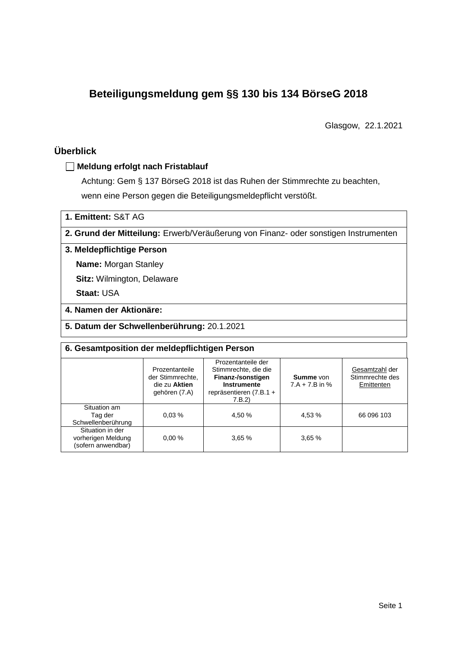# **Beteiligungsmeldung gem §§ 130 bis 134 BörseG 2018**

Glasgow, 22.1.2021

## **Überblick**

#### **Meldung erfolgt nach Fristablauf**

Achtung: Gem § 137 BörseG 2018 ist das Ruhen der Stimmrechte zu beachten, wenn eine Person gegen die Beteiligungsmeldepflicht verstößt.

**1. Emittent:** S&T AG

**2. Grund der Mitteilung:** Erwerb/Veräußerung von Finanz- oder sonstigen Instrumenten

#### **3. Meldepflichtige Person**

**Name:** Morgan Stanley

**Sitz:** Wilmington, Delaware

**Staat:** USA

#### **4. Namen der Aktionäre:**

**5. Datum der Schwellenberührung:** 20.1.2021

| 6. Gesamtposition der meldepflichtigen Person                |                                                                      |                                                                                                                           |                                      |                                                 |  |  |  |
|--------------------------------------------------------------|----------------------------------------------------------------------|---------------------------------------------------------------------------------------------------------------------------|--------------------------------------|-------------------------------------------------|--|--|--|
|                                                              | Prozentanteile<br>der Stimmrechte.<br>die zu Aktien<br>gehören (7.A) | Prozentanteile der<br>Stimmrechte, die die<br>Finanz-/sonstigen<br><b>Instrumente</b><br>repräsentieren (7.B.1 +<br>7.B.2 | <b>Summe</b> von<br>$7.A + 7.B$ in % | Gesamtzahl der<br>Stimmrechte des<br>Emittenten |  |  |  |
| Situation am<br>Tag der<br>Schwellenberührung                | 0.03%                                                                | 4.50 %                                                                                                                    | 4,53 %                               | 66 096 103                                      |  |  |  |
| Situation in der<br>vorherigen Meldung<br>(sofern anwendbar) | 0.00%                                                                | 3.65%                                                                                                                     | 3,65%                                |                                                 |  |  |  |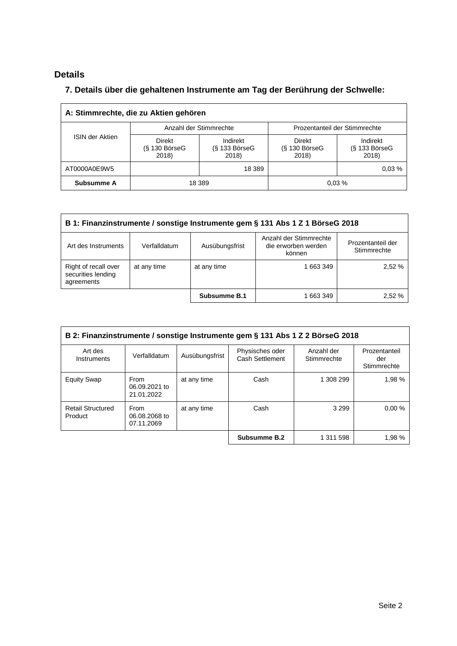## **Details**

### **7. Details über die gehaltenen Instrumente am Tag der Berührung der Schwelle:**

| A: Stimmrechte, die zu Aktien gehören |                                           |                                      |                                           |                                      |  |  |
|---------------------------------------|-------------------------------------------|--------------------------------------|-------------------------------------------|--------------------------------------|--|--|
|                                       |                                           | Anzahl der Stimmrechte               | Prozentanteil der Stimmrechte             |                                      |  |  |
| <b>ISIN der Aktien</b>                | <b>Direkt</b><br>$(S$ 130 BörseG<br>2018) | Indirekt<br>$(S$ 133 BörseG<br>2018) | <b>Direkt</b><br>$(S$ 130 BörseG<br>2018) | Indirekt<br>$(S$ 133 BörseG<br>2018) |  |  |
| AT0000A0E9W5                          |                                           | 18 389                               |                                           | 0.03%                                |  |  |
| Subsumme A                            | 18 3 89                                   |                                      |                                           | 0.03%                                |  |  |

| B 1: Finanzinstrumente / sonstige Instrumente gem § 131 Abs 1 Z 1 BörseG 2018                                                                        |             |              |           |        |  |  |
|------------------------------------------------------------------------------------------------------------------------------------------------------|-------------|--------------|-----------|--------|--|--|
| Anzahl der Stimmrechte<br>Prozentanteil der<br>die erworben werden<br>Art des Instruments<br>Verfalldatum<br>Ausübungsfrist<br>Stimmrechte<br>können |             |              |           |        |  |  |
| Right of recall over<br>securities lending<br>agreements                                                                                             | at any time | at any time  | 1 663 349 | 2,52 % |  |  |
|                                                                                                                                                      |             | Subsumme B.1 | 1 663 349 | 2.52%  |  |  |

| B 2: Finanzinstrumente / sonstige Instrumente gem § 131 Abs 1 Z 2 BörseG 2018 |                                     |                |                                    |                           |                                     |  |
|-------------------------------------------------------------------------------|-------------------------------------|----------------|------------------------------------|---------------------------|-------------------------------------|--|
| Art des<br>Instruments                                                        | Verfalldatum                        | Ausübungsfrist | Physisches oder<br>Cash Settlement | Anzahl der<br>Stimmrechte | Prozentanteil<br>der<br>Stimmrechte |  |
| <b>Equity Swap</b>                                                            | From<br>06.09.2021 to<br>21.01.2022 | at any time    | Cash                               | 1 308 299                 | 1,98 %                              |  |
| <b>Retail Structured</b><br>Product                                           | From<br>06.08.2068 to<br>07.11.2069 | at any time    | Cash                               | 3 2 9 9                   | 0.00%                               |  |
|                                                                               |                                     |                | Subsumme B.2                       | 1 311 598                 | 1,98 %                              |  |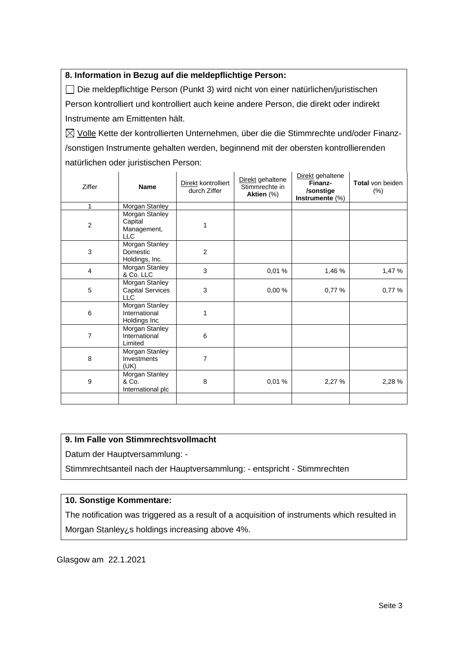#### **8. Information in Bezug auf die meldepflichtige Person:**

Die meldepflichtige Person (Punkt 3) wird nicht von einer natürlichen/juristischen Person kontrolliert und kontrolliert auch keine andere Person, die direkt oder indirekt Instrumente am Emittenten hält.

 $\boxtimes$  Volle Kette der kontrollierten Unternehmen, über die die Stimmrechte und/oder Finanz-/sonstigen Instrumente gehalten werden, beginnend mit der obersten kontrollierenden natürlichen oder juristischen Person:

| Ziffer           | <b>Name</b>                                             | Direkt kontrolliert<br>durch Ziffer | Direkt gehaltene<br>Stimmrechte in<br>Aktien (%) | Direkt gehaltene<br>Finanz-<br>/sonstige<br>Instrumente $(\%)$ | <b>Total von beiden</b><br>(%) |
|------------------|---------------------------------------------------------|-------------------------------------|--------------------------------------------------|----------------------------------------------------------------|--------------------------------|
| 1                | <b>Morgan Stanley</b>                                   |                                     |                                                  |                                                                |                                |
| $\overline{c}$   | Morgan Stanley<br>Capital<br>Management,<br><b>LLC</b>  | 1                                   |                                                  |                                                                |                                |
| 3                | Morgan Stanley<br>Domestic<br>Holdings, Inc.            | $\overline{2}$                      |                                                  |                                                                |                                |
| 4                | Morgan Stanley<br>& Co. LLC                             | 3                                   | 0,01%                                            | 1,46 %                                                         | 1,47 %                         |
| 5                | Morgan Stanley<br><b>Capital Services</b><br><b>LLC</b> | 3                                   | 0,00%                                            | 0,77 %                                                         | 0,77%                          |
| 6                | Morgan Stanley<br>International<br>Holdings Inc         | 1                                   |                                                  |                                                                |                                |
| 7                | Morgan Stanley<br>International<br>Limited              | 6                                   |                                                  |                                                                |                                |
| 8                | Morgan Stanley<br>Investments<br>(UK)                   | 7                                   |                                                  |                                                                |                                |
| $\boldsymbol{9}$ | Morgan Stanley<br>& Co.<br>International plc            | 8                                   | 0,01%                                            | 2,27 %                                                         | 2,28 %                         |
|                  |                                                         |                                     |                                                  |                                                                |                                |

#### **9. Im Falle von Stimmrechtsvollmacht**

Datum der Hauptversammlung: -

Stimmrechtsanteil nach der Hauptversammlung: - entspricht - Stimmrechten

#### **10. Sonstige Kommentare:**

The notification was triggered as a result of a acquisition of instruments which resulted in Morgan Stanley¿s holdings increasing above 4%.

Glasgow am 22.1.2021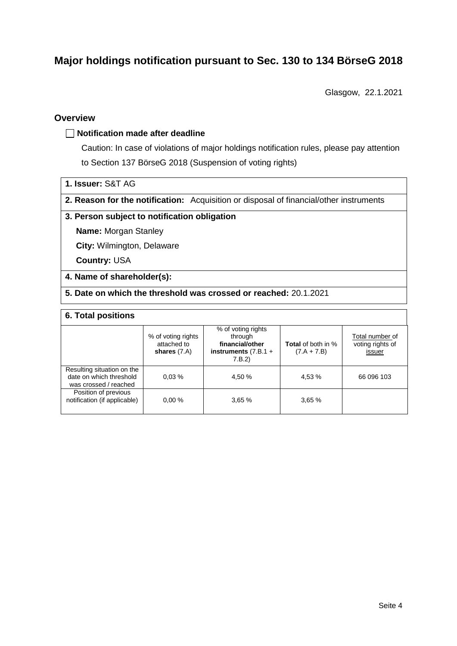# **Major holdings notification pursuant to Sec. 130 to 134 BörseG 2018**

Glasgow, 22.1.2021

#### **Overview**

#### **Notification made after deadline**

Caution: In case of violations of major holdings notification rules, please pay attention to Section 137 BörseG 2018 (Suspension of voting rights)

|  |  | 1. Issuer: S&T AG |  |  |
|--|--|-------------------|--|--|
|--|--|-------------------|--|--|

**2. Reason for the notification:** Acquisition or disposal of financial/other instruments

#### **3. Person subject to notification obligation**

**Name:** Morgan Stanley

**City:** Wilmington, Delaware

**Country:** USA

#### **4. Name of shareholder(s):**

**5. Date on which the threshold was crossed or reached:** 20.1.2021

#### **6. Total positions**

|                                                                                | % of voting rights<br>attached to<br>shares $(7.A)$ | % of voting rights<br>through<br>financial/other<br>instruments $(7.B.1 +$<br>7.B.2 | <b>Total</b> of both in %<br>$(7.A + 7.B)$ | Total number of<br>voting rights of<br>issuer |
|--------------------------------------------------------------------------------|-----------------------------------------------------|-------------------------------------------------------------------------------------|--------------------------------------------|-----------------------------------------------|
| Resulting situation on the<br>date on which threshold<br>was crossed / reached | 0.03%                                               | 4.50 %                                                                              | 4,53 %                                     | 66 096 103                                    |
| Position of previous<br>notification (if applicable)                           | 0.00%                                               | 3.65%                                                                               | 3,65%                                      |                                               |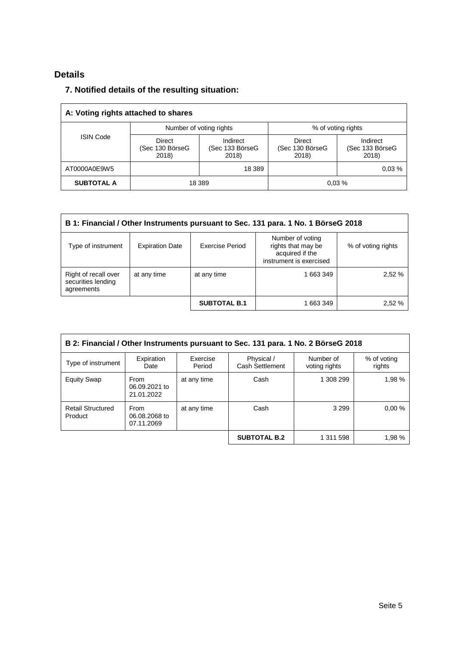## **Details**

### **7. Notified details of the resulting situation:**

| A: Voting rights attached to shares |                                           |                                      |                                    |                                      |  |
|-------------------------------------|-------------------------------------------|--------------------------------------|------------------------------------|--------------------------------------|--|
|                                     | Number of voting rights                   |                                      | % of voting rights                 |                                      |  |
| <b>ISIN Code</b>                    | <b>Direct</b><br>(Sec 130 BörseG<br>2018) | Indirect<br>(Sec 133 BörseG<br>2018) | Direct<br>(Sec 130 BörseG<br>2018) | Indirect<br>(Sec 133 BörseG<br>2018) |  |
| AT0000A0E9W5                        |                                           | 18 3 89                              |                                    | 0.03%                                |  |
| <b>SUBTOTAL A</b>                   | 18 389                                    |                                      |                                    | 0.03%                                |  |

| B 1: Financial / Other Instruments pursuant to Sec. 131 para. 1 No. 1 BörseG 2018                                                                                             |             |                     |           |        |  |  |
|-------------------------------------------------------------------------------------------------------------------------------------------------------------------------------|-------------|---------------------|-----------|--------|--|--|
| Number of voting<br>rights that may be<br>Exercise Period<br>Type of instrument<br><b>Expiration Date</b><br>% of voting rights<br>acquired if the<br>instrument is exercised |             |                     |           |        |  |  |
| Right of recall over<br>securities lending<br>agreements                                                                                                                      | at any time | at any time         | 1 663 349 | 2.52%  |  |  |
|                                                                                                                                                                               |             | <b>SUBTOTAL B.1</b> | 1 663 349 | 2,52 % |  |  |

| B 2: Financial / Other Instruments pursuant to Sec. 131 para. 1 No. 2 BörseG 2018 |                                     |                    |                               |                            |                       |  |  |
|-----------------------------------------------------------------------------------|-------------------------------------|--------------------|-------------------------------|----------------------------|-----------------------|--|--|
| Type of instrument                                                                | Expiration<br>Date                  | Exercise<br>Period | Physical /<br>Cash Settlement | Number of<br>voting rights | % of voting<br>rights |  |  |
| <b>Equity Swap</b>                                                                | From<br>06.09.2021 to<br>21.01.2022 | at any time        | Cash                          | 1 308 299                  | 1,98 %                |  |  |
| <b>Retail Structured</b><br>Product                                               | From<br>06.08.2068 to<br>07.11.2069 | at any time        | Cash                          | 3 2 9 9                    | 0.00%                 |  |  |
|                                                                                   |                                     |                    | <b>SUBTOTAL B.2</b>           | 1 311 598                  | 1,98 %                |  |  |